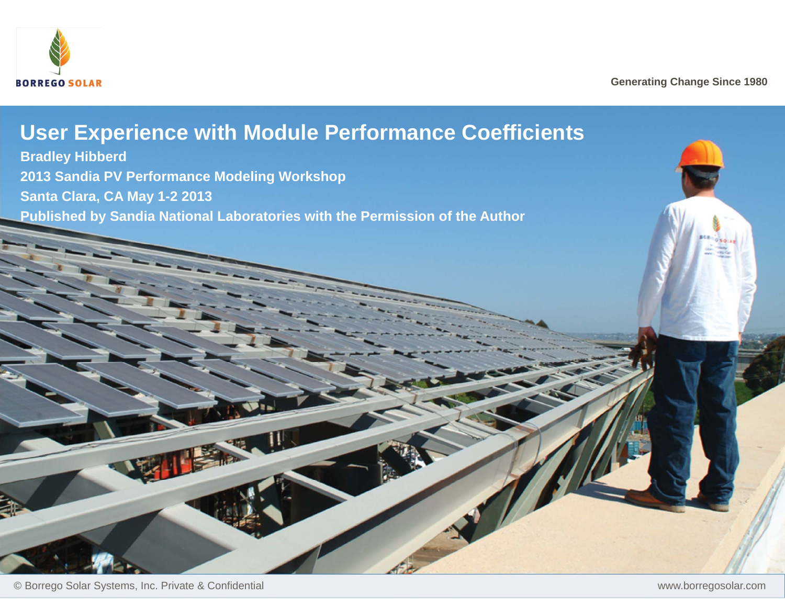

**Generating Change Since 1980**

# **User Experience with Module Performance Coefficients**

**Bradley Hibberd 2013 Sandia PV Performance Modeling Workshop Santa Clara, CA May 1-2 2013 Published by Sandia National Laboratories with the Permission of the Author**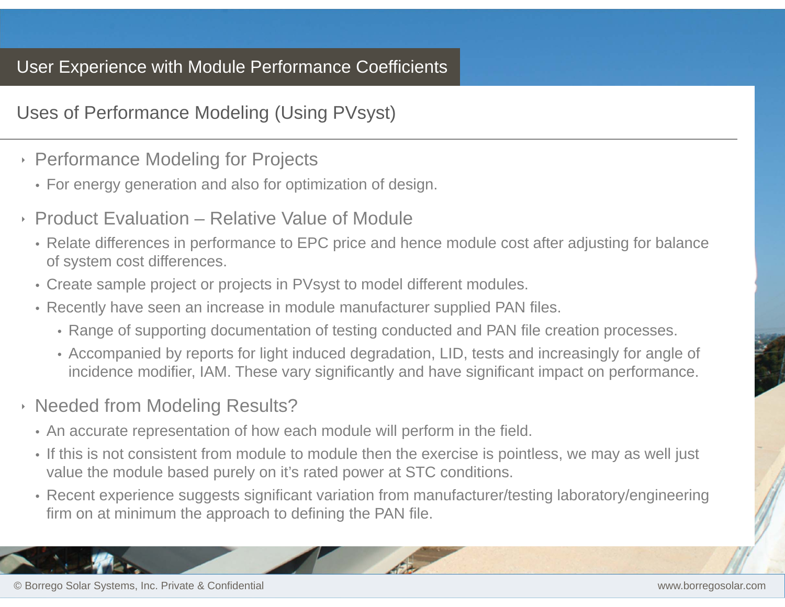#### Uses of Performance Modeling (Using PVsyst)

- ‣ Performance Modeling for Projects
	- For energy generation and also for optimization of design.
- ‣ Product Evaluation Relative Value of Module
	- Relate differences in performance to EPC price and hence module cost after adjusting for balance of system cost differences.
	- Create sample project or projects in PVsyst to model different modules.
	- Recently have seen an increase in module manufacturer supplied PAN files.
		- Range of supporting documentation of testing conducted and PAN file creation processes.
		- Accompanied by reports for light induced degradation, LID, tests and increasingly for angle of incidence modifier, IAM. These vary significantly and have significant impact on performance.
- ‣ Needed from Modeling Results?
	- An accurate representation of how each module will perform in the field.
	- If this is not consistent from module to module then the exercise is pointless, we may as well just value the module based purely on it's rated power at STC conditions.
	- Recent experience suggests significant variation from manufacturer/testing laboratory/engineering firm on at minimum the approach to defining the PAN file.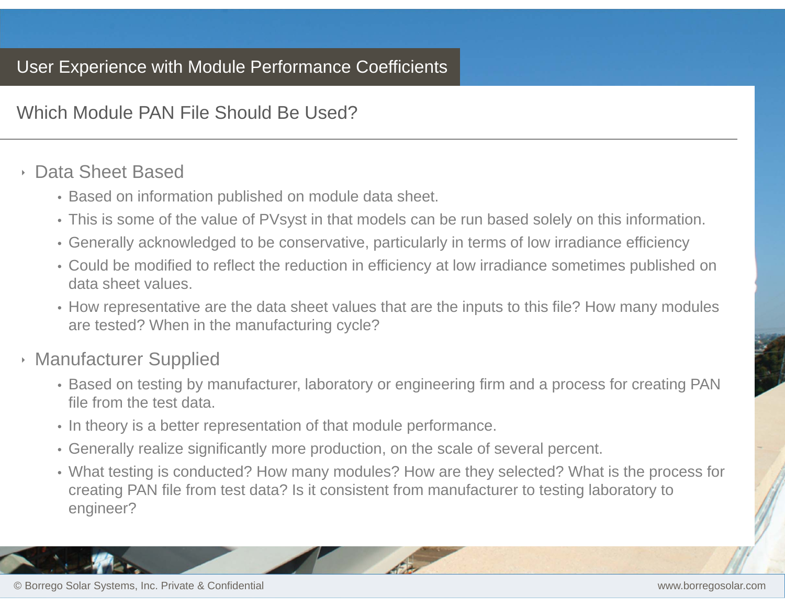Which Module PAN File Should Be Used?

#### ‣ Data Sheet Based

- Based on information published on module data sheet.
- This is some of the value of PVsyst in that models can be run based solely on this information.
- Generally acknowledged to be conservative, particularly in terms of low irradiance efficiency
- Could be modified to reflect the reduction in efficiency at low irradiance sometimes published on data sheet values.
- How representative are the data sheet values that are the inputs to this file? How many modules are tested? When in the manufacturing cycle?
- ‣ Manufacturer Supplied
	- Based on testing by manufacturer, laboratory or engineering firm and a process for creating PAN file from the test data.
	- In theory is a better representation of that module performance.
	- Generally realize significantly more production, on the scale of several percent.
	- What testing is conducted? How many modules? How are they selected? What is the process for creating PAN file from test data? Is it consistent from manufacturer to testing laboratory to engineer?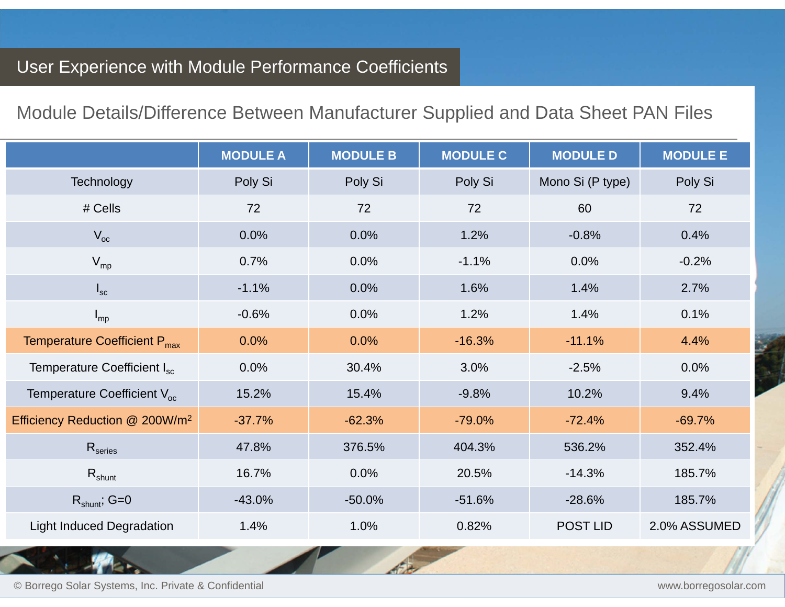### Module Details/Difference Between Manufacturer Supplied and Data Sheet PAN Files

|                                            | <b>MODULE A</b> | <b>MODULE B</b> | <b>MODULE C</b> | <b>MODULE D</b>  | <b>MODULE E</b> |
|--------------------------------------------|-----------------|-----------------|-----------------|------------------|-----------------|
| Technology                                 | Poly Si         | Poly Si         | Poly Si         | Mono Si (P type) | Poly Si         |
| # Cells                                    | 72              | 72              | 72              | 60               | 72              |
| $V_{oc}$                                   | 0.0%            | 0.0%            | 1.2%            | $-0.8%$          | 0.4%            |
| $V_{mp}$                                   | 0.7%            | 0.0%            | $-1.1%$         | 0.0%             | $-0.2%$         |
| $I_{\rm sc}$                               | $-1.1%$         | 0.0%            | 1.6%            | 1.4%             | 2.7%            |
| $I_{mp}$                                   | $-0.6%$         | 0.0%            | 1.2%            | 1.4%             | 0.1%            |
| Temperature Coefficient P <sub>max</sub>   | 0.0%            | 0.0%            | $-16.3%$        | $-11.1%$         | 4.4%            |
| Temperature Coefficient I <sub>sc</sub>    | 0.0%            | 30.4%           | 3.0%            | $-2.5%$          | 0.0%            |
| Temperature Coefficient V <sub>oc</sub>    | 15.2%           | 15.4%           | $-9.8%$         | 10.2%            | 9.4%            |
| Efficiency Reduction @ 200W/m <sup>2</sup> | $-37.7%$        | $-62.3%$        | $-79.0%$        | $-72.4%$         | $-69.7%$        |
| R <sub>series</sub>                        | 47.8%           | 376.5%          | 404.3%          | 536.2%           | 352.4%          |
| $R_{shunt}$                                | 16.7%           | 0.0%            | 20.5%           | $-14.3%$         | 185.7%          |
| $R_{shunt}$ ; G=0                          | $-43.0%$        | $-50.0%$        | $-51.6%$        | $-28.6%$         | 185.7%          |
| <b>Light Induced Degradation</b>           | 1.4%            | 1.0%            | 0.82%           | POST LID         | 2.0% ASSUMED    |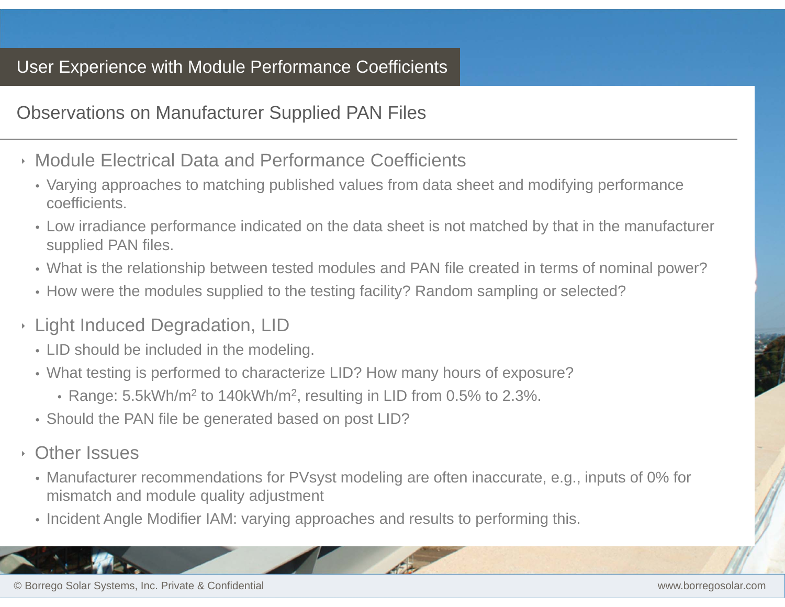#### Observations on Manufacturer Supplied PAN Files

- ‣ Module Electrical Data and Performance Coefficients
	- Varying approaches to matching published values from data sheet and modifying performance coefficients.
	- Low irradiance performance indicated on the data sheet is not matched by that in the manufacturer supplied PAN files.
	- What is the relationship between tested modules and PAN file created in terms of nominal power?
	- How were the modules supplied to the testing facility? Random sampling or selected?
- ‣ Light Induced Degradation, LID
	- LID should be included in the modeling.
	- What testing is performed to characterize LID? How many hours of exposure?
		- Range: 5.5kWh/m<sup>2</sup> to 140kWh/m<sup>2</sup>, resulting in LID from 0.5% to 2.3%.
	- Should the PAN file be generated based on post LID?
- ‣ Other Issues
	- Manufacturer recommendations for PVsyst modeling are often inaccurate, e.g., inputs of 0% for mismatch and module quality adjustment
	- Incident Angle Modifier IAM: varying approaches and results to performing this.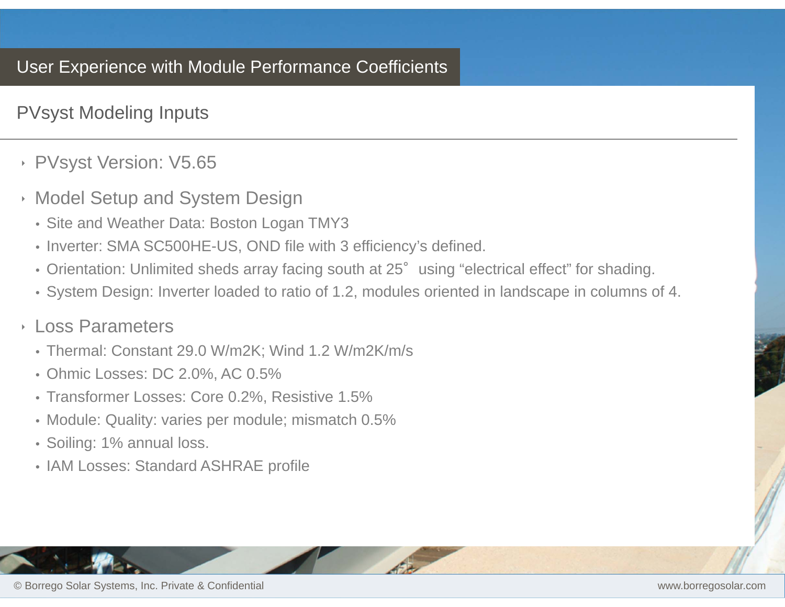### PVsyst Modeling Inputs

#### ‣ PVsyst Version: V5.65

- ‣ Model Setup and System Design
	- Site and Weather Data: Boston Logan TMY3
	- Inverter: SMA SC500HE-US, OND file with 3 efficiency's defined.
	- Orientation: Unlimited sheds array facing south at 25° using "electrical effect" for shading.
	- System Design: Inverter loaded to ratio of 1.2, modules oriented in landscape in columns of 4.

#### ‣ Loss Parameters

- Thermal: Constant 29.0 W/m2K; Wind 1.2 W/m2K/m/s
- Ohmic Losses: DC 2.0%, AC 0.5%
- Transformer Losses: Core 0.2%, Resistive 1.5%
- Module: Quality: varies per module; mismatch 0.5%
- Soiling: 1% annual loss.
- IAM Losses: Standard ASHRAE profile

© Borrego Solar Systems, Inc. Private & Confidential www.borregosolar.com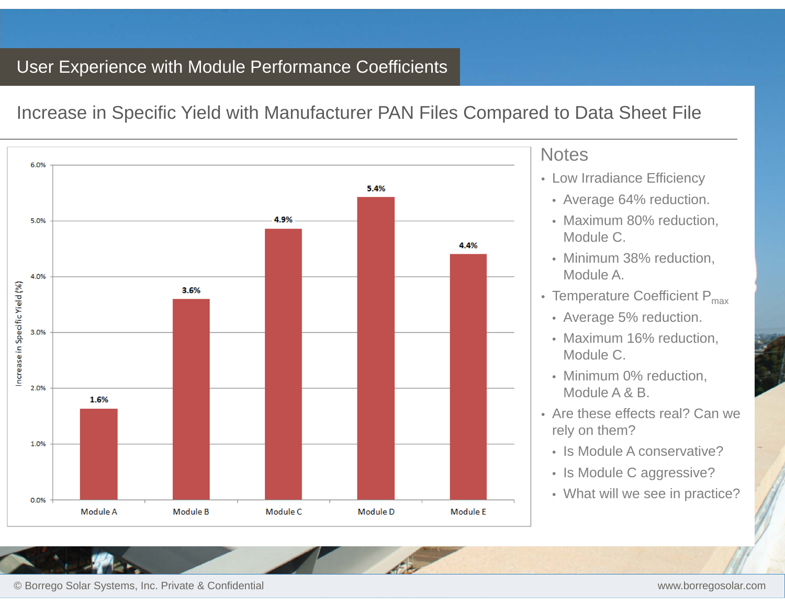Increase in Specific Yield with Manufacturer PAN Files Compared to Data Sheet File



#### **Notes**

- Low Irradiance Efficiency
- Average 64% reduction.
- Maximum 80% reduction, Module C.
- Minimum 38% reduction, Module A.
- Temperature Coefficient  $\mathsf{P}_{\mathsf{max}}$ 
	- Average 5% reduction.
	- Maximum 16% reduction, Module C.
	- Minimum 0% reduction, Module A & B.
- Are these effects real? Can we rely on them?
	- Is Module A conservative?
	- Is Module C aggressive?
- What will we see in practice?

© Borrego Solar Systems, Inc. Private & Confidential www.borregosolar.com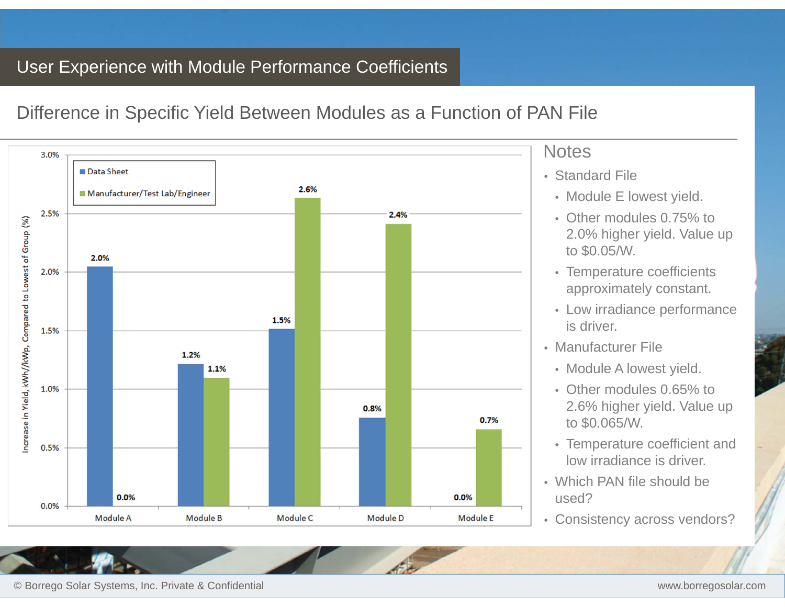### Difference in Specific Yield Between Modules as a Function of PAN File



© Borrego Solar Systems, Inc. Private & Confidential www.borregosolar.com